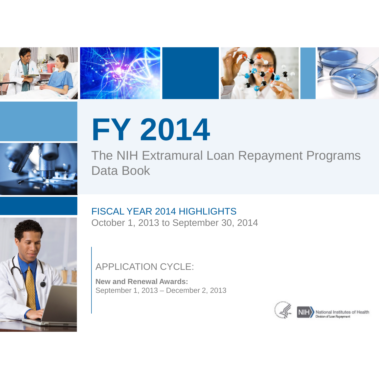







# **FY 2014**

The NIH Extramural Loan Repayment Programs Data Book



# FISCAL YEAR 2014 HIGHLIGHTS

October 1, 2013 to September 30, 2014

# APPLICATION CYCLE:

**New and Renewal Awards:**  September 1, 2013 – December 2, 2013



Wision of Loan Repayment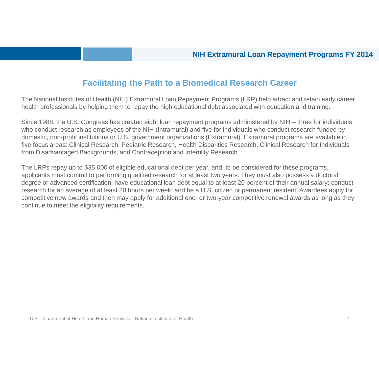#### **Facilitating the Path to a Biomedical Research Career**

The National Institutes of Health (NIH) Extramural Loan Repayment Programs (LRP) help attract and retain early career health professionals by helping them to repay the high educational debt associated with education and training.

Since 1988, the U.S. Congress has created eight loan repayment programs administered by NIH – three for individuals who conduct research as employees of the NIH (Intramural) and five for individuals who conduct research funded by domestic, non-profit institutions or U.S. government organizations (Extramural). Extramural programs are available in five focus areas: Clinical Research, Pediatric Research, Health Disparities Research, Clinical Research for Individuals from Disadvantaged Backgrounds, and Contraception and Infertility Research.

The LRPs repay up to \$35,000 of eligible educational debt per year, and, to be considered for these programs, applicants must commit to performing qualified research for at least two years. They must also possess a doctoral degree or advanced certification; have educational loan debt equal to at least 20 percent of their annual salary; conduct research for an average of at least 20 hours per week; and be a U.S. citizen or permanent resident. Awardees apply for competitive new awards and then may apply for additional one- or two-year competitive renewal awards as long as they continue to meet the eligibility requirements.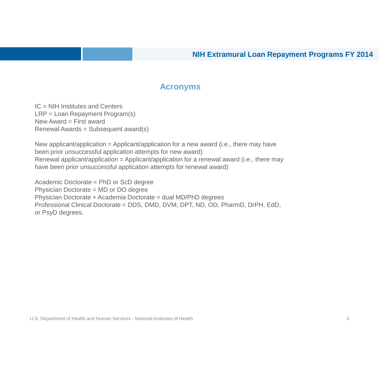#### **Acronyms**

IC = NIH Institutes and Centers LRP = Loan Repayment Program(s) New Award = First award Renewal Awards = Subsequent award(s)

New applicant/application = Applicant/application for a new award (i.e., there may have been prior unsuccessful application attempts for new award) Renewal applicant/application = Applicant/application for a renewal award (i.e., there may have been prior unsuccessful application attempts for renewal award)

Academic Doctorate = PhD or ScD degree Physician Doctorate = MD or DO degree Physician Doctorate + Academia Doctorate = dual MD/PhD degrees Professional Clinical Doctorate = DDS, DMD, DVM, DPT, ND, OD, PharmD, DrPH, EdD, or PsyD degrees.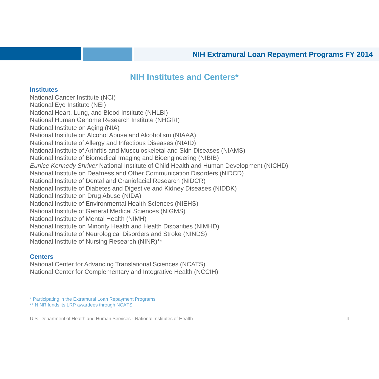#### **NIH Institutes and Centers\***

#### **Institutes**

National Cancer Institute (NCI) National Eye Institute (NEI) National Heart, Lung, and Blood Institute (NHLBI) National Human Genome Research Institute (NHGRI) National Institute on Aging (NIA) National Institute on Alcohol Abuse and Alcoholism (NIAAA) National Institute of Allergy and Infectious Diseases (NIAID) National Institute of Arthritis and Musculoskeletal and Skin Diseases (NIAMS) National Institute of Biomedical Imaging and Bioengineering (NIBIB) *Eunice Kennedy Shriver* National Institute of Child Health and Human Development (NICHD) National Institute on Deafness and Other Communication Disorders (NIDCD) National Institute of Dental and Craniofacial Research (NIDCR) National Institute of Diabetes and Digestive and Kidney Diseases (NIDDK) National Institute on Drug Abuse (NIDA) National Institute of Environmental Health Sciences (NIEHS) National Institute of General Medical Sciences (NIGMS) National Institute of Mental Health (NIMH) National Institute on Minority Health and Health Disparities (NIMHD) National Institute of Neurological Disorders and Stroke (NINDS) National Institute of Nursing Research (NINR)\*\*

#### **Centers**

National Center for Advancing Translational Sciences (NCATS) National Center for Complementary and Integrative Health (NCCIH)

\* Participating in the Extramural Loan Repayment Programs

\*\* NINR funds its LRP awardees through NCATS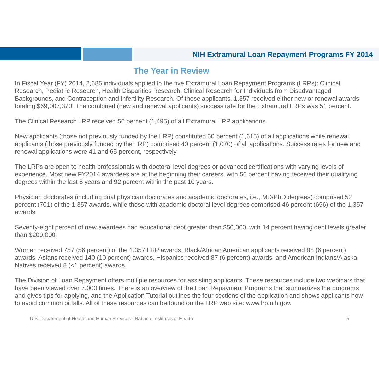## **The Year in Review**

In Fiscal Year (FY) 2014, 2,685 individuals applied to the five Extramural Loan Repayment Programs (LRPs): Clinical Research, Pediatric Research, Health Disparities Research, Clinical Research for Individuals from Disadvantaged Backgrounds, and Contraception and Infertility Research. Of those applicants, 1,357 received either new or renewal awards totaling \$69,007,370. The combined (new and renewal applicants) success rate for the Extramural LRPs was 51 percent.

The Clinical Research LRP received 56 percent (1,495) of all Extramural LRP applications.

New applicants (those not previously funded by the LRP) constituted 60 percent (1,615) of all applications while renewal applicants (those previously funded by the LRP) comprised 40 percent (1,070) of all applications. Success rates for new and renewal applications were 41 and 65 percent, respectively.

The LRPs are open to health professionals with doctoral level degrees or advanced certifications with varying levels of experience. Most new FY2014 awardees are at the beginning their careers, with 56 percent having received their qualifying degrees within the last 5 years and 92 percent within the past 10 years.

Physician doctorates (including dual physician doctorates and academic doctorates, i.e., MD/PhD degrees) comprised 52 percent (701) of the 1,357 awards, while those with academic doctoral level degrees comprised 46 percent (656) of the 1,357 awards.

Seventy-eight percent of new awardees had educational debt greater than \$50,000, with 14 percent having debt levels greater than \$200,000.

Women received 757 (56 percent) of the 1,357 LRP awards. Black/African American applicants received 88 (6 percent) awards, Asians received 140 (10 percent) awards, Hispanics received 87 (6 percent) awards, and American Indians/Alaska Natives received 8 (<1 percent) awards.

The Division of Loan Repayment offers multiple resources for assisting applicants. These resources include two webinars that have been viewed over 7,000 times. There is an overview of the Loan Repayment Programs that summarizes the programs and gives tips for applying, and the Application Tutorial outlines the four sections of the application and shows applicants how to avoid common pitfalls. All of these resources can be found on the LRP web site: www.lrp.nih.gov.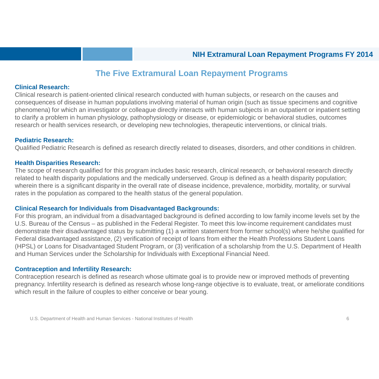#### **The Five Extramural Loan Repayment Programs**

#### **Clinical Research:**

Clinical research is patient-oriented clinical research conducted with human subjects, or research on the causes and consequences of disease in human populations involving material of human origin (such as tissue specimens and cognitive phenomena) for which an investigator or colleague directly interacts with human subjects in an outpatient or inpatient setting to clarify a problem in human physiology, pathophysiology or disease, or epidemiologic or behavioral studies, outcomes research or health services research, or developing new technologies, therapeutic interventions, or clinical trials.

#### **Pediatric Research:**

Qualified Pediatric Research is defined as research directly related to diseases, disorders, and other conditions in children.

#### **Health Disparities Research:**

The scope of research qualified for this program includes basic research, clinical research, or behavioral research directly related to health disparity populations and the medically underserved. Group is defined as a health disparity population; wherein there is a significant disparity in the overall rate of disease incidence, prevalence, morbidity, mortality, or survival rates in the population as compared to the health status of the general population.

#### **Clinical Research for Individuals from Disadvantaged Backgrounds:**

For this program, an individual from a disadvantaged background is defined according to low family income levels set by the U.S. Bureau of the Census – as published in the Federal Register. To meet this low-income requirement candidates must demonstrate their disadvantaged status by submitting (1) a written statement from former school(s) where he/she qualified for Federal disadvantaged assistance, (2) verification of receipt of loans from either the Health Professions Student Loans (HPSL) or Loans for Disadvantaged Student Program, or (3) verification of a scholarship from the U.S. Department of Health and Human Services under the Scholarship for Individuals with Exceptional Financial Need.

#### **Contraception and Infertility Research:**

Contraception research is defined as research whose ultimate goal is to provide new or improved methods of preventing pregnancy. Infertility research is defined as research whose long-range objective is to evaluate, treat, or ameliorate conditions which result in the failure of couples to either conceive or bear young.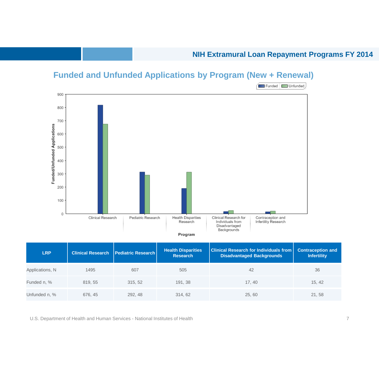## **Funded and Unfunded Applications by Program (New + Renewal)**



| <b>LRP</b>      | <b>Clinical Research</b> | <b>Pediatric Research</b> | <b>Health Disparities</b><br><b>Research</b> | <b>Clinical Research for Individuals from</b><br><b>Disadvantaged Backgrounds</b> | <b>Contraception and</b><br><b>Infertility</b> |
|-----------------|--------------------------|---------------------------|----------------------------------------------|-----------------------------------------------------------------------------------|------------------------------------------------|
| Applications, N | 1495                     | 607                       | 505                                          | 42                                                                                | 36                                             |
| Funded n, %     | 819, 55                  | 315, 52                   | 191, 38                                      | 17.40                                                                             | 15, 42                                         |
| Unfunded n, %   | 676, 45                  | 292, 48                   | 314, 62                                      | 25, 60                                                                            | 21, 58                                         |

U.S. Department of Health and Human Services - National Institutes of Health 7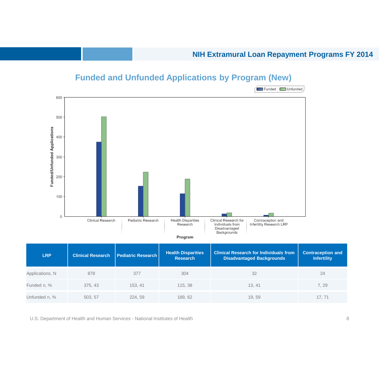

# **Funded and Unfunded Applications by Program (New)**

| <b>LRP</b>      | <b>Clinical Research</b> | Pediatric Research | <b>Health Disparities</b><br><b>Research</b> | <b>Clinical Research for Individuals from</b><br><b>Disadvantaged Backgrounds</b> | <b>Contraception and</b><br><b>Infertility</b> |
|-----------------|--------------------------|--------------------|----------------------------------------------|-----------------------------------------------------------------------------------|------------------------------------------------|
| Applications, N | 878                      | 377                | 304                                          | 32                                                                                | 24                                             |
| Funded n, %     | 375, 43                  | 153.41             | 115, 38                                      | 13.41                                                                             | 7.29                                           |
| Unfunded n, %   | 503, 57                  | 224.59             | 189, 62                                      | 19, 59                                                                            | 17.71                                          |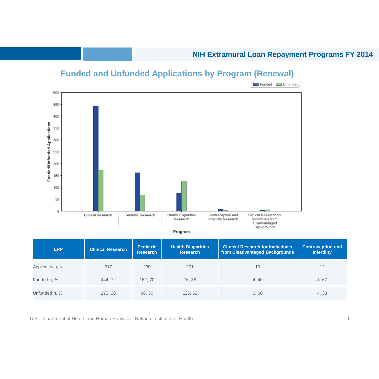

## **Funded and Unfunded Applications by Program (Renewal)**

| <b>LRP</b>      | <b>Clinical Research</b> | <b>Pediatric</b><br><b>Research</b> | <b>Health Disparities</b><br><b>Research</b> | <b>Clinical Research for Individuals</b><br>from Disadvantaged Backgrounds | <b>Contraception and</b><br><b>Infertility</b> |
|-----------------|--------------------------|-------------------------------------|----------------------------------------------|----------------------------------------------------------------------------|------------------------------------------------|
| Applications, N | 617                      | 230                                 | 201                                          | 10                                                                         | 12                                             |
| Funded n, %     | 444, 72                  | 162, 70                             | 76, 38                                       | 4, 40                                                                      | 8,67                                           |
| Unfunded n, %   | 173.28                   | 68, 30                              | 125, 62                                      | 6,60                                                                       | 4, 33                                          |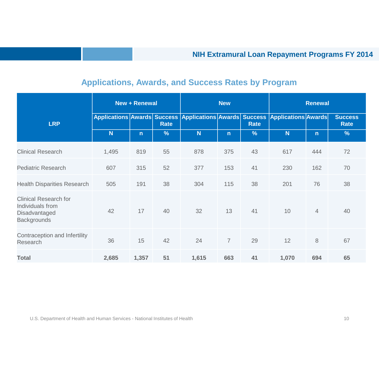| <b>Applications, Awards, and Success Rates by Program</b> |  |  |
|-----------------------------------------------------------|--|--|
|                                                           |  |  |

|                                                                                         | <b>New + Renewal</b> |              | <b>New</b>  |       | <b>Renewal</b> |               |                                                                             |                |                               |
|-----------------------------------------------------------------------------------------|----------------------|--------------|-------------|-------|----------------|---------------|-----------------------------------------------------------------------------|----------------|-------------------------------|
| <b>LRP</b>                                                                              |                      |              | <b>Rate</b> |       |                | <b>Rate</b>   | Applications Awards Success Applications Awards Success Applications Awards |                | <b>Success</b><br><b>Rate</b> |
|                                                                                         | N                    | $\mathsf{n}$ | %           | N     | $\mathsf{n}$   | $\frac{9}{6}$ | N                                                                           | $\mathsf{n}$   | $\frac{9}{6}$                 |
| <b>Clinical Research</b>                                                                | 1,495                | 819          | 55          | 878   | 375            | 43            | 617                                                                         | 444            | 72                            |
| <b>Pediatric Research</b>                                                               | 607                  | 315          | 52          | 377   | 153            | 41            | 230                                                                         | 162            | 70                            |
| <b>Health Disparities Research</b>                                                      | 505                  | 191          | 38          | 304   | 115            | 38            | 201                                                                         | 76             | 38                            |
| <b>Clinical Research for</b><br>Individuals from<br>Disadvantaged<br><b>Backgrounds</b> | 42                   | 17           | 40          | 32    | 13             | 41            | 10                                                                          | $\overline{4}$ | 40                            |
| Contraception and Infertility<br>Research                                               | 36                   | 15           | 42          | 24    | $\overline{7}$ | 29            | 12                                                                          | 8              | 67                            |
| <b>Total</b>                                                                            | 2,685                | 1,357        | 51          | 1,615 | 663            | 41            | 1,070                                                                       | 694            | 65                            |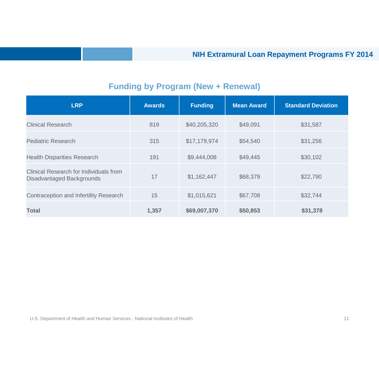# **Funding by Program (New + Renewal)**

| <b>LRP</b>                                                                 | <b>Awards</b> | <b>Funding</b> | <b>Mean Award</b> | <b>Standard Deviation</b> |
|----------------------------------------------------------------------------|---------------|----------------|-------------------|---------------------------|
| <b>Clinical Research</b>                                                   | 819           | \$40,205,320   | \$49,091          | \$31,587                  |
| <b>Pediatric Research</b>                                                  | 315           | \$17,179,974   | \$54,540          | \$31,256                  |
| <b>Health Disparities Research</b>                                         | 191           | \$9,444,008    | \$49,445          | \$30,102                  |
| Clinical Research for Individuals from<br><b>Disadvantaged Backgrounds</b> | 17            | \$1,162,447    | \$68,379          | \$22,790                  |
| Contraception and Infertility Research                                     | 15            | \$1,015,621    | \$67,708          | \$32,744                  |
| <b>Total</b>                                                               | 1,357         | \$69,007,370   | \$50,853          | \$31,378                  |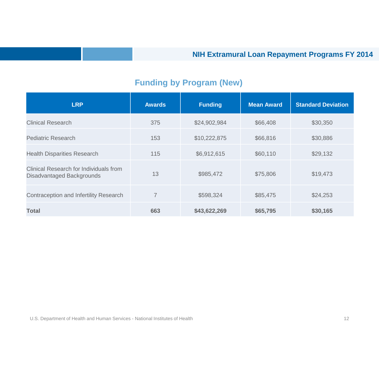# **Funding by Program (New)**

| <b>LRP</b>                                                          | <b>Awards</b>  | <b>Funding</b> | <b>Mean Award</b> | <b>Standard Deviation</b> |
|---------------------------------------------------------------------|----------------|----------------|-------------------|---------------------------|
| Clinical Research                                                   | 375            | \$24,902,984   | \$66,408          | \$30,350                  |
| <b>Pediatric Research</b>                                           | 153            | \$10,222,875   | \$66,816          | \$30,886                  |
| <b>Health Disparities Research</b>                                  | 115            | \$6,912,615    | \$60,110          | \$29,132                  |
| Clinical Research for Individuals from<br>Disadvantaged Backgrounds | 13             | \$985,472      | \$75,806          | \$19,473                  |
| Contraception and Infertility Research                              | $\overline{7}$ | \$598,324      | \$85,475          | \$24,253                  |
| <b>Total</b>                                                        | 663            | \$43,622,269   | \$65,795          | \$30,165                  |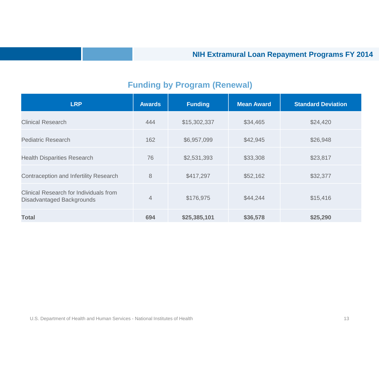# **Funding by Program (Renewal)**

| <b>LRP</b>                                                          | <b>Awards</b>  | <b>Funding</b> | <b>Mean Award</b> | <b>Standard Deviation</b> |
|---------------------------------------------------------------------|----------------|----------------|-------------------|---------------------------|
| <b>Clinical Research</b>                                            | 444            | \$15,302,337   | \$34,465          | \$24,420                  |
| <b>Pediatric Research</b>                                           | 162            | \$6,957,099    | \$42,945          | \$26,948                  |
| <b>Health Disparities Research</b>                                  | 76             | \$2,531,393    | \$33,308          | \$23,817                  |
| Contraception and Infertility Research                              | 8              | \$417,297      | \$52,162          | \$32,377                  |
| Clinical Research for Individuals from<br>Disadvantaged Backgrounds | $\overline{4}$ | \$176,975      | \$44,244          | \$15,416                  |
| Total                                                               | 694            | \$25,385,101   | \$36,578          | \$25,290                  |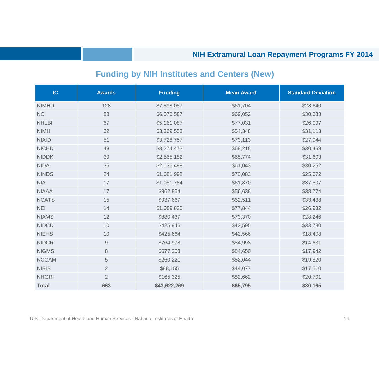# **Funding by NIH Institutes and Centers (New)**

| IC           | <b>Awards</b>  | <b>Funding</b> | <b>Mean Award</b> | <b>Standard Deviation</b> |
|--------------|----------------|----------------|-------------------|---------------------------|
| <b>NIMHD</b> | 128            | \$7,898,087    | \$61,704          | \$28,640                  |
| <b>NCI</b>   | 88             | \$6,076,587    | \$69,052          | \$30,683                  |
| <b>NHLBI</b> | 67             | \$5,161,087    | \$77,031          | \$26,097                  |
| <b>NIMH</b>  | 62             | \$3,369,553    | \$54,348          | \$31,113                  |
| <b>NIAID</b> | 51             | \$3,728,757    | \$73,113          | \$27,044                  |
| <b>NICHD</b> | 48             | \$3,274,473    | \$68,218          | \$30,469                  |
| <b>NIDDK</b> | 39             | \$2,565,182    | \$65,774          | \$31,603                  |
| <b>NIDA</b>  | 35             | \$2,136,498    | \$61,043          | \$30,252                  |
| <b>NINDS</b> | 24             | \$1,681,992    | \$70,083          | \$25,672                  |
| <b>NIA</b>   | 17             | \$1,051,784    | \$61,870          | \$37,507                  |
| <b>NIAAA</b> | 17             | \$962,854      | \$56,638          | \$38,774                  |
| <b>NCATS</b> | 15             | \$937,667      | \$62,511          | \$33,438                  |
| <b>NEI</b>   | 14             | \$1,089,820    | \$77,844          | \$26,932                  |
| <b>NIAMS</b> | 12             | \$880,437      | \$73,370          | \$28,246                  |
| <b>NIDCD</b> | 10             | \$425,946      | \$42,595          | \$33,730                  |
| <b>NIEHS</b> | 10             | \$425,664      | \$42,566          | \$18,408                  |
| <b>NIDCR</b> | $\hbox{9}$     | \$764,978      | \$84,998          | \$14,631                  |
| <b>NIGMS</b> | 8              | \$677,203      | \$84,650          | \$17,942                  |
| <b>NCCAM</b> | $\sqrt{5}$     | \$260,221      | \$52,044          | \$19,820                  |
| <b>NIBIB</b> | $\mathbf{2}$   | \$88,155       | \$44,077          | \$17,510                  |
| <b>NHGRI</b> | $\overline{2}$ | \$165,325      | \$82,662          | \$20,701                  |
| <b>Total</b> | 663            | \$43,622,269   | \$65,795          | \$30,165                  |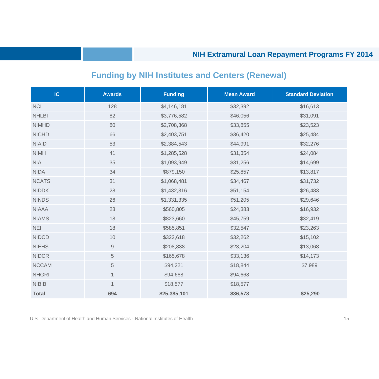# **Funding by NIH Institutes and Centers (Renewal)**

| IC           | <b>Awards</b> | <b>Funding</b> | <b>Mean Award</b> | <b>Standard Deviation</b> |
|--------------|---------------|----------------|-------------------|---------------------------|
| <b>NCI</b>   | 128           | \$4,146,181    | \$32,392          | \$16,613                  |
| <b>NHLBI</b> | 82            | \$3,776,582    | \$46,056          | \$31,091                  |
| <b>NIMHD</b> | 80            | \$2,708,368    | \$33,855          | \$23,523                  |
| <b>NICHD</b> | 66            | \$2,403,751    | \$36,420          | \$25,484                  |
| <b>NIAID</b> | 53            | \$2,384,543    | \$44,991          | \$32,276                  |
| <b>NIMH</b>  | 41            | \$1,285,528    | \$31,354          | \$24,084                  |
| <b>NIA</b>   | 35            | \$1,093,949    | \$31,256          | \$14,699                  |
| <b>NIDA</b>  | 34            | \$879,150      | \$25,857          | \$13,817                  |
| <b>NCATS</b> | 31            | \$1,068,481    | \$34,467          | \$31,732                  |
| <b>NIDDK</b> | 28            | \$1,432,316    | \$51,154          | \$26,483                  |
| <b>NINDS</b> | 26            | \$1,331,335    | \$51,205          | \$29,646                  |
| <b>NIAAA</b> | 23            | \$560,805      | \$24,383          | \$16,932                  |
| <b>NIAMS</b> | 18            | \$823,660      | \$45,759          | \$32,419                  |
| <b>NEI</b>   | 18            | \$585,851      | \$32,547          | \$23,263                  |
| <b>NIDCD</b> | 10            | \$322,618      | \$32,262          | \$15,102                  |
| <b>NIEHS</b> | $\mathsf{9}$  | \$208,838      | \$23,204          | \$13,068                  |
| <b>NIDCR</b> | $\mathbf 5$   | \$165,678      | \$33,136          | \$14,173                  |
| <b>NCCAM</b> | $\,$ 5 $\,$   | \$94,221       | \$18,844          | \$7,989                   |
| <b>NHGRI</b> | $\mathbf{1}$  | \$94,668       | \$94,668          |                           |
| <b>NIBIB</b> | $\mathbf 1$   | \$18,577       | \$18,577          |                           |
| <b>Total</b> | 694           | \$25,385,101   | \$36,578          | \$25,290                  |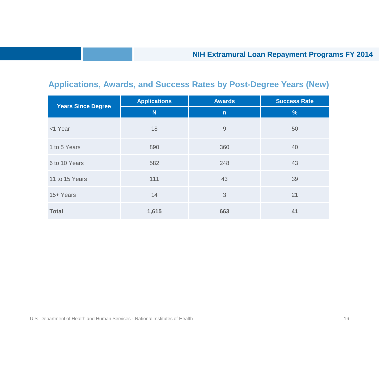# **Applications, Awards, and Success Rates by Post-Degree Years (New)**

| <b>Years Since Degree</b> | <b>Applications</b> | <b>Awards</b> | <b>Success Rate</b> |
|---------------------------|---------------------|---------------|---------------------|
|                           | N                   | $\mathsf{n}$  | $\%$                |
| <1 Year                   | 18                  | 9             | 50                  |
| 1 to 5 Years              | 890                 | 360           | 40                  |
| 6 to 10 Years             | 582                 | 248           | 43                  |
| 11 to 15 Years            | 111                 | 43            | 39                  |
| 15+ Years                 | 14                  | 3             | 21                  |
| <b>Total</b>              | 1,615               | 663           | 41                  |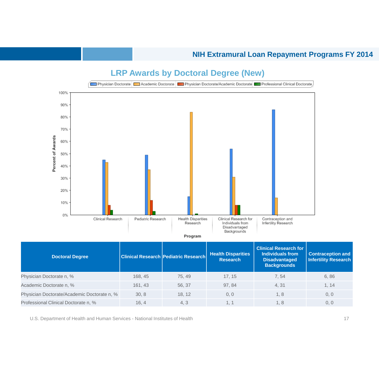

Physician Doctorate/Academic Doctorate n, % 30, 8 18, 12 0, 0 1, 8 18, 19 1, 8 0, 0 Professional Clinical Doctorate n, % 16, 4 4, 3 1, 1 1, 1 4, 8 1, 8 0, 0

## **LRP Awards by Doctoral Degree (New)**

U.S. Department of Health and Human Services - National Institutes of Health 17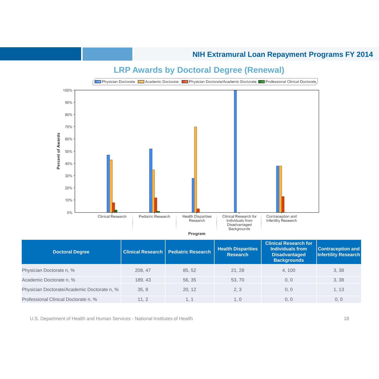

#### **LRP Awards by Doctoral Degree (Renewal)**

**Doctoral Degree Clinical Research | Pediatric Research | Health Disparities <b>Proposation Research Clinical Research for Individuals from Disadvantaged Backgrounds Contraception and Infertility Research**  Physician Doctorate n, % 208, 47 208, 47 85, 52 21, 28 4, 100 3, 38 Academic Doctorate n, % 189, 43 56, 35 53, 70 0, 0 3, 38 Physician Doctorate/Academic Doctorate n, % 35, 8 20, 12 2, 3 0, 0 1, 13 Professional Clinical Doctorate n, % 11, 2 1, 1 1, 0 0, 0 0, 0

U.S. Department of Health and Human Services - National Institutes of Health 18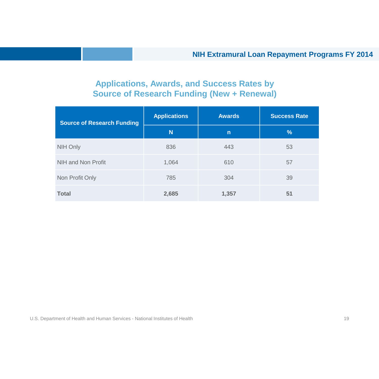# **Applications, Awards, and Success Rates by Source of Research Funding (New + Renewal)**

| <b>Source of Research Funding</b> | <b>Applications</b> | <b>Awards</b> | <b>Success Rate</b> |
|-----------------------------------|---------------------|---------------|---------------------|
|                                   | N                   | $\mathsf{n}$  | %                   |
| NIH Only                          | 836                 | 443           | 53                  |
| NIH and Non Profit                | 1,064               | 610           | 57                  |
| Non Profit Only                   | 785                 | 304           | 39                  |
| <b>Total</b>                      | 2,685               | 1,357         | 51                  |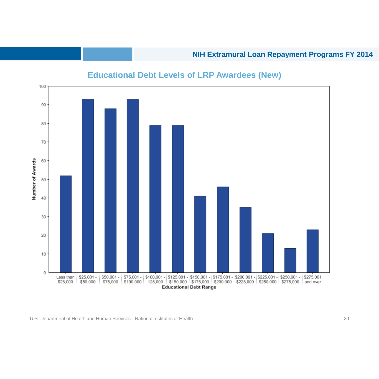

## **Educational Debt Levels of LRP Awardees (New)**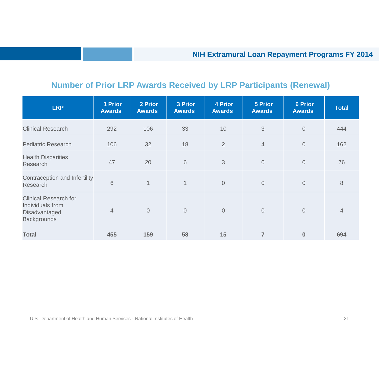# **Number of Prior LRP Awards Received by LRP Participants (Renewal)**

| <b>LRP</b>                                                                              | <b>1 Prior</b><br><b>Awards</b> | 2 Prior<br><b>Awards</b> | <b>3 Prior</b><br><b>Awards</b> | <b>4 Prior</b><br><b>Awards</b> | <b>5 Prior</b><br><b>Awards</b> | <b>6 Prior</b><br><b>Awards</b> | <b>Total</b> |
|-----------------------------------------------------------------------------------------|---------------------------------|--------------------------|---------------------------------|---------------------------------|---------------------------------|---------------------------------|--------------|
| <b>Clinical Research</b>                                                                | 292                             | 106                      | 33                              | 10                              | 3                               | $\overline{0}$                  | 444          |
| <b>Pediatric Research</b>                                                               | 106                             | 32                       | 18                              | 2                               | $\overline{4}$                  | $\overline{0}$                  | 162          |
| <b>Health Disparities</b><br>Research                                                   | 47                              | 20                       | 6                               | 3                               | $\overline{0}$                  | $\overline{0}$                  | 76           |
| Contraception and Infertility<br>Research                                               | 6                               | $\mathbf{1}$             | $\mathbf{1}$                    | $\overline{0}$                  | $\overline{0}$                  | $\overline{0}$                  | 8            |
| <b>Clinical Research for</b><br>Individuals from<br>Disadvantaged<br><b>Backgrounds</b> | $\overline{4}$                  | $\overline{0}$           | $\sqrt{0}$                      | $\overline{0}$                  | $\overline{0}$                  | $\overline{0}$                  | 4            |
| <b>Total</b>                                                                            | 455                             | 159                      | 58                              | 15                              | $\overline{7}$                  | $\bf{0}$                        | 694          |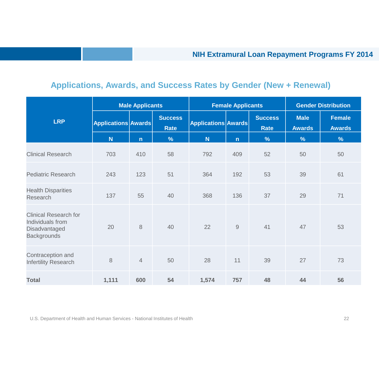# **Applications, Awards, and Success Rates by Gender (New + Renewal)**

|                                                                                         |                            | <b>Male Applicants</b> |                               |                     | <b>Female Applicants</b>                                  | <b>Gender Distribution</b>    |                              |                                |
|-----------------------------------------------------------------------------------------|----------------------------|------------------------|-------------------------------|---------------------|-----------------------------------------------------------|-------------------------------|------------------------------|--------------------------------|
| <b>LRP</b>                                                                              | <b>Applications Awards</b> |                        | <b>Success</b><br><b>Rate</b> | Applications Awards |                                                           | <b>Success</b><br><b>Rate</b> | <b>Male</b><br><b>Awards</b> | <b>Female</b><br><b>Awards</b> |
|                                                                                         | N <sub>1</sub>             | $\mathsf{n}$           | $\frac{9}{6}$                 | <b>N</b>            | $\mathsf{n}$                                              | $\frac{9}{6}$                 | $\frac{9}{6}$                | $\frac{9}{6}$                  |
| <b>Clinical Research</b>                                                                | 703                        | 410                    | 58                            | 792                 | 409                                                       | 52                            | 50                           | 50                             |
| <b>Pediatric Research</b>                                                               | 243                        | 123                    | 51                            | 364                 | 192                                                       | 53                            | 39                           | 61                             |
| <b>Health Disparities</b><br>Research                                                   | 137                        | 55                     | 40                            | 368                 | 136                                                       | 37                            | 29                           | 71                             |
| <b>Clinical Research for</b><br>Individuals from<br>Disadvantaged<br><b>Backgrounds</b> | 20                         | 8                      | 40                            | 22                  | $\mathcal{G}% _{M_{1},M_{2}}^{\alpha,\beta}(\mathcal{A})$ | 41                            | 47                           | 53                             |
| Contraception and<br><b>Infertility Research</b>                                        | 8                          | $\overline{4}$         | 50                            | 28                  | 11                                                        | 39                            | 27                           | 73                             |
| <b>Total</b>                                                                            | 1,111                      | 600                    | 54                            | 1,574               | 757                                                       | 48                            | 44                           | 56                             |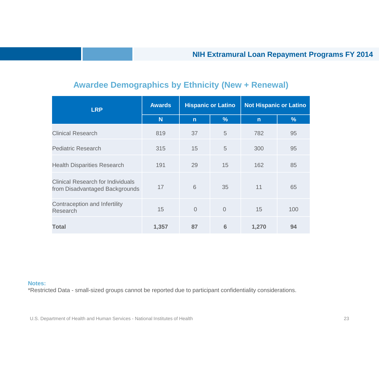## **Awardee Demographics by Ethnicity (New + Renewal)**

| <b>LRP</b>                                                                 | <b>Awards</b> |                | <b>Hispanic or Latino</b> | <b>Not Hispanic or Latino</b> |     |  |  |
|----------------------------------------------------------------------------|---------------|----------------|---------------------------|-------------------------------|-----|--|--|
|                                                                            | N             | $\mathsf{n}$   | $\frac{9}{6}$             | $\mathsf{n}$                  | %   |  |  |
| <b>Clinical Research</b>                                                   | 819           | 37             | 5                         | 782                           | 95  |  |  |
| <b>Pediatric Research</b>                                                  | 315           | 15             | 5                         | 300                           | 95  |  |  |
| <b>Health Disparities Research</b>                                         | 191           | 29             | 15                        | 162                           | 85  |  |  |
| <b>Clinical Research for Individuals</b><br>from Disadvantaged Backgrounds | 17            | 6              | 35                        | 11                            | 65  |  |  |
| Contraception and Infertility<br>Research                                  | 15            | $\overline{0}$ | $\overline{0}$            | 15                            | 100 |  |  |
| <b>Total</b>                                                               | 1,357         | 87             | 6                         | 1,270                         | 94  |  |  |

#### **Notes:**

\*Restricted Data - small-sized groups cannot be reported due to participant confidentiality considerations.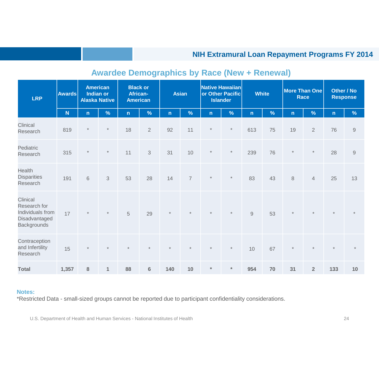| <b>Awards</b><br><b>LRP</b>                                                  |       | <b>American</b><br><b>Indian or</b><br><b>Alaska Native</b> |                | <b>Black or</b><br><b>African</b><br><b>American</b> |                | <b>Asian</b> |                | Native Hawaiian<br>or Other Pacific<br><b>Islander</b> |               | <b>White</b> |      | <b>More Than One</b><br><b>Race</b> |                | Other / No<br><b>Response</b> |              |
|------------------------------------------------------------------------------|-------|-------------------------------------------------------------|----------------|------------------------------------------------------|----------------|--------------|----------------|--------------------------------------------------------|---------------|--------------|------|-------------------------------------|----------------|-------------------------------|--------------|
|                                                                              | N     | n                                                           | %              | $\mathsf{n}$                                         | $\%$           | $\mathsf{n}$ | $\%$           | $\mathsf{n}$                                           | $\frac{9}{6}$ | n            | $\%$ | $\mathsf{n}$                        | $\%$           | $\mathsf{n}$                  | %            |
| Clinical<br>Research                                                         | 819   | $\star$                                                     | $\star$        | 18                                                   | $\overline{2}$ | 92           | 11             | $^\star$                                               | $^\star$      | 613          | 75   | 19                                  | $\overline{2}$ | 76                            | $\mathsf{9}$ |
| Pediatric<br>Research                                                        | 315   | $\star$                                                     | $\ast$         | 11                                                   | $\mathfrak{Z}$ | 31           | 10             | $\ast$                                                 | $\ast$        | 239          | 76   | $\ast$                              | $\ast$         | 28                            | $\mathsf{9}$ |
| Health<br><b>Disparities</b><br>Research                                     | 191   | $\,$ 6 $\,$                                                 | $\mathfrak{Z}$ | 53                                                   | 28             | 14           | $\overline{7}$ | $\ast$                                                 | $\ast$        | 83           | 43   | 8                                   | $\overline{4}$ | 25                            | 13           |
| Clinical<br>Research for<br>Individuals from<br>Disadvantaged<br>Backgrounds | 17    | $\star$                                                     | $\star$        | $\sqrt{5}$                                           | 29             | $\star$      | $\star$        |                                                        | $\star$       | $\hbox{9}$   | 53   | $\star$                             | $\star$        |                               |              |
| Contraception<br>and Infertility<br>Research                                 | 15    | $\star$                                                     | $\star$        | $^\star$                                             | $\star$        | $^\star$     | $\star$        | $\star$                                                | $\ast$        | 10           | 67   | $\star$                             | $\star$        | $\star$                       | $\star$      |
| <b>Total</b>                                                                 | 1,357 | $\bf 8$                                                     | $\mathbf{1}$   | 88                                                   | $\bf 6$        | 140          | 10             | $\ast$                                                 | $\ast$        | 954          | 70   | 31                                  | $\overline{2}$ | 133                           | 10           |

# **Awardee Demographics by Race (New + Renewal)**

#### **Notes:**

\*Restricted Data - small-sized groups cannot be reported due to participant confidentiality considerations.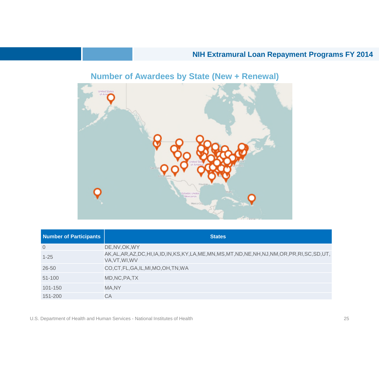

# **Number of Awardees by State (New + Renewal)**

| <b>Number of Participants</b> | <b>States</b>                                                                                                                 |
|-------------------------------|-------------------------------------------------------------------------------------------------------------------------------|
| $\overline{0}$                | DE, NV, OK, WY                                                                                                                |
| $1 - 25$                      | AK, AL, AR, AZ, DC, HI, IA, ID, IN, KS, KY, LA, ME, MN, MS, MT, ND, NE, NH, NJ, NM, OR, PR, RI, SC, SD, UT,<br>VA, VT, WI, WV |
| $26 - 50$                     | CO,CT,FL,GA,IL,MI,MO,OH,TN,WA                                                                                                 |
| $51 - 100$                    | MD, NC, PA, TX                                                                                                                |
| 101-150                       | MA,NY                                                                                                                         |
| 151-200                       | СA                                                                                                                            |